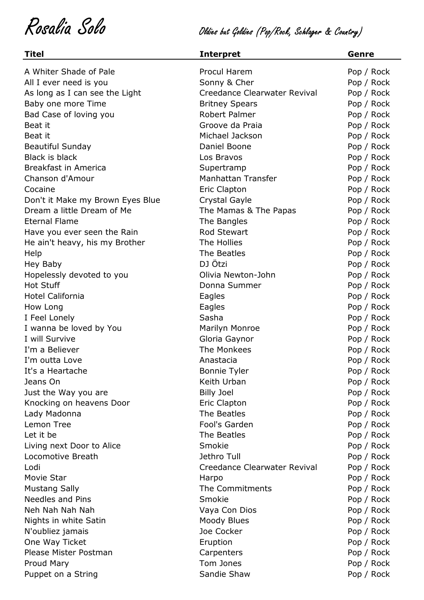## Rosalia Solo Oldies but Goldies (Pop/Rock, Schlager & Country)

| A Whiter Shade of Pale<br>Procul Harem<br>Pop / Rock<br>All I ever need is you<br>Sonny & Cher<br>Pop / Rock<br>As long as I can see the Light<br>Creedance Clearwater Revival<br>Pop / Rock<br><b>Britney Spears</b><br>Baby one more Time<br>Pop / Rock<br>Robert Palmer<br>Pop / Rock<br>Bad Case of loving you<br>Groove da Praia<br>Beat it<br>Pop / Rock<br>Michael Jackson<br>Beat it<br>Pop / Rock<br>Daniel Boone<br><b>Beautiful Sunday</b><br>Pop / Rock<br><b>Black is black</b><br>Los Bravos<br>Pop / Rock<br>Breakfast in America<br>Supertramp<br>Pop / Rock<br>Chanson d'Amour<br>Manhattan Transfer<br>Pop / Rock<br>Eric Clapton<br>Cocaine<br>Pop / Rock<br>Don't it Make my Brown Eyes Blue<br>Crystal Gayle<br>Pop / Rock<br>Dream a little Dream of Me<br>The Mamas & The Papas<br>Pop / Rock<br><b>Eternal Flame</b><br>The Bangles<br>Pop / Rock<br>Rod Stewart<br>Have you ever seen the Rain<br>Pop / Rock<br>The Hollies<br>He ain't heavy, his my Brother<br>Pop / Rock<br>The Beatles<br>Help<br>Pop / Rock<br>DJ Ötzi<br>Pop / Rock<br>Hey Baby<br>Olivia Newton-John<br>Hopelessly devoted to you<br>Pop / Rock<br><b>Hot Stuff</b><br>Donna Summer<br>Pop / Rock<br>Hotel California<br>Eagles<br>Pop / Rock<br>How Long<br>Eagles<br>Pop / Rock<br>Sasha<br>I Feel Lonely<br>Pop / Rock<br>I wanna be loved by You<br><b>Marilyn Monroe</b><br>Pop / Rock<br>I will Survive<br>Gloria Gaynor<br>Pop / Rock<br>I'm a Believer<br>The Monkees<br>Pop / Rock<br>Anastacia<br>I'm outta Love<br>Pop / Rock<br>It's a Heartache<br><b>Bonnie Tyler</b><br>Pop / Rock<br>Keith Urban<br>Jeans On<br>Pop / Rock<br>Just the Way you are<br><b>Billy Joel</b><br>Pop / Rock<br>Knocking on heavens Door<br>Eric Clapton<br>Pop / Rock<br>The Beatles<br>Lady Madonna<br>Pop / Rock<br>Lemon Tree<br>Fool's Garden<br>Pop / Rock<br>Let it be<br>The Beatles<br>Pop / Rock<br>Smokie<br>Living next Door to Alice<br>Pop / Rock<br>Locomotive Breath<br>Jethro Tull<br>Pop / Rock<br>Creedance Clearwater Revival<br>Lodi<br>Pop / Rock<br>Movie Star<br>Pop / Rock<br>Harpo<br><b>Mustang Sally</b><br>The Commitments<br>Pop / Rock<br>Needles and Pins<br>Smokie<br>Pop / Rock<br>Neh Nah Nah Nah<br>Vaya Con Dios<br>Pop / Rock<br>Nights in white Satin<br>Moody Blues<br>Pop / Rock<br>Joe Cocker<br>N'oubliez jamais<br>Pop / Rock<br>One Way Ticket<br>Eruption<br>Pop / Rock<br>Please Mister Postman<br>Carpenters<br>Pop / Rock<br>Tom Jones<br>Proud Mary<br>Pop / Rock<br>Sandie Shaw<br>Puppet on a String<br>Pop / Rock | <b>Titel</b> | <b>Interpret</b> | Genre |
|-----------------------------------------------------------------------------------------------------------------------------------------------------------------------------------------------------------------------------------------------------------------------------------------------------------------------------------------------------------------------------------------------------------------------------------------------------------------------------------------------------------------------------------------------------------------------------------------------------------------------------------------------------------------------------------------------------------------------------------------------------------------------------------------------------------------------------------------------------------------------------------------------------------------------------------------------------------------------------------------------------------------------------------------------------------------------------------------------------------------------------------------------------------------------------------------------------------------------------------------------------------------------------------------------------------------------------------------------------------------------------------------------------------------------------------------------------------------------------------------------------------------------------------------------------------------------------------------------------------------------------------------------------------------------------------------------------------------------------------------------------------------------------------------------------------------------------------------------------------------------------------------------------------------------------------------------------------------------------------------------------------------------------------------------------------------------------------------------------------------------------------------------------------------------------------------------------------------------------------------------------------------------------------------------------------------------------------------------------------------------------------------------------------------------------------------------------------------------------------------------------------------------------------------------------------------|--------------|------------------|-------|
|                                                                                                                                                                                                                                                                                                                                                                                                                                                                                                                                                                                                                                                                                                                                                                                                                                                                                                                                                                                                                                                                                                                                                                                                                                                                                                                                                                                                                                                                                                                                                                                                                                                                                                                                                                                                                                                                                                                                                                                                                                                                                                                                                                                                                                                                                                                                                                                                                                                                                                                                                                 |              |                  |       |
|                                                                                                                                                                                                                                                                                                                                                                                                                                                                                                                                                                                                                                                                                                                                                                                                                                                                                                                                                                                                                                                                                                                                                                                                                                                                                                                                                                                                                                                                                                                                                                                                                                                                                                                                                                                                                                                                                                                                                                                                                                                                                                                                                                                                                                                                                                                                                                                                                                                                                                                                                                 |              |                  |       |
|                                                                                                                                                                                                                                                                                                                                                                                                                                                                                                                                                                                                                                                                                                                                                                                                                                                                                                                                                                                                                                                                                                                                                                                                                                                                                                                                                                                                                                                                                                                                                                                                                                                                                                                                                                                                                                                                                                                                                                                                                                                                                                                                                                                                                                                                                                                                                                                                                                                                                                                                                                 |              |                  |       |
|                                                                                                                                                                                                                                                                                                                                                                                                                                                                                                                                                                                                                                                                                                                                                                                                                                                                                                                                                                                                                                                                                                                                                                                                                                                                                                                                                                                                                                                                                                                                                                                                                                                                                                                                                                                                                                                                                                                                                                                                                                                                                                                                                                                                                                                                                                                                                                                                                                                                                                                                                                 |              |                  |       |
|                                                                                                                                                                                                                                                                                                                                                                                                                                                                                                                                                                                                                                                                                                                                                                                                                                                                                                                                                                                                                                                                                                                                                                                                                                                                                                                                                                                                                                                                                                                                                                                                                                                                                                                                                                                                                                                                                                                                                                                                                                                                                                                                                                                                                                                                                                                                                                                                                                                                                                                                                                 |              |                  |       |
|                                                                                                                                                                                                                                                                                                                                                                                                                                                                                                                                                                                                                                                                                                                                                                                                                                                                                                                                                                                                                                                                                                                                                                                                                                                                                                                                                                                                                                                                                                                                                                                                                                                                                                                                                                                                                                                                                                                                                                                                                                                                                                                                                                                                                                                                                                                                                                                                                                                                                                                                                                 |              |                  |       |
|                                                                                                                                                                                                                                                                                                                                                                                                                                                                                                                                                                                                                                                                                                                                                                                                                                                                                                                                                                                                                                                                                                                                                                                                                                                                                                                                                                                                                                                                                                                                                                                                                                                                                                                                                                                                                                                                                                                                                                                                                                                                                                                                                                                                                                                                                                                                                                                                                                                                                                                                                                 |              |                  |       |
|                                                                                                                                                                                                                                                                                                                                                                                                                                                                                                                                                                                                                                                                                                                                                                                                                                                                                                                                                                                                                                                                                                                                                                                                                                                                                                                                                                                                                                                                                                                                                                                                                                                                                                                                                                                                                                                                                                                                                                                                                                                                                                                                                                                                                                                                                                                                                                                                                                                                                                                                                                 |              |                  |       |
|                                                                                                                                                                                                                                                                                                                                                                                                                                                                                                                                                                                                                                                                                                                                                                                                                                                                                                                                                                                                                                                                                                                                                                                                                                                                                                                                                                                                                                                                                                                                                                                                                                                                                                                                                                                                                                                                                                                                                                                                                                                                                                                                                                                                                                                                                                                                                                                                                                                                                                                                                                 |              |                  |       |
|                                                                                                                                                                                                                                                                                                                                                                                                                                                                                                                                                                                                                                                                                                                                                                                                                                                                                                                                                                                                                                                                                                                                                                                                                                                                                                                                                                                                                                                                                                                                                                                                                                                                                                                                                                                                                                                                                                                                                                                                                                                                                                                                                                                                                                                                                                                                                                                                                                                                                                                                                                 |              |                  |       |
|                                                                                                                                                                                                                                                                                                                                                                                                                                                                                                                                                                                                                                                                                                                                                                                                                                                                                                                                                                                                                                                                                                                                                                                                                                                                                                                                                                                                                                                                                                                                                                                                                                                                                                                                                                                                                                                                                                                                                                                                                                                                                                                                                                                                                                                                                                                                                                                                                                                                                                                                                                 |              |                  |       |
|                                                                                                                                                                                                                                                                                                                                                                                                                                                                                                                                                                                                                                                                                                                                                                                                                                                                                                                                                                                                                                                                                                                                                                                                                                                                                                                                                                                                                                                                                                                                                                                                                                                                                                                                                                                                                                                                                                                                                                                                                                                                                                                                                                                                                                                                                                                                                                                                                                                                                                                                                                 |              |                  |       |
|                                                                                                                                                                                                                                                                                                                                                                                                                                                                                                                                                                                                                                                                                                                                                                                                                                                                                                                                                                                                                                                                                                                                                                                                                                                                                                                                                                                                                                                                                                                                                                                                                                                                                                                                                                                                                                                                                                                                                                                                                                                                                                                                                                                                                                                                                                                                                                                                                                                                                                                                                                 |              |                  |       |
|                                                                                                                                                                                                                                                                                                                                                                                                                                                                                                                                                                                                                                                                                                                                                                                                                                                                                                                                                                                                                                                                                                                                                                                                                                                                                                                                                                                                                                                                                                                                                                                                                                                                                                                                                                                                                                                                                                                                                                                                                                                                                                                                                                                                                                                                                                                                                                                                                                                                                                                                                                 |              |                  |       |
|                                                                                                                                                                                                                                                                                                                                                                                                                                                                                                                                                                                                                                                                                                                                                                                                                                                                                                                                                                                                                                                                                                                                                                                                                                                                                                                                                                                                                                                                                                                                                                                                                                                                                                                                                                                                                                                                                                                                                                                                                                                                                                                                                                                                                                                                                                                                                                                                                                                                                                                                                                 |              |                  |       |
|                                                                                                                                                                                                                                                                                                                                                                                                                                                                                                                                                                                                                                                                                                                                                                                                                                                                                                                                                                                                                                                                                                                                                                                                                                                                                                                                                                                                                                                                                                                                                                                                                                                                                                                                                                                                                                                                                                                                                                                                                                                                                                                                                                                                                                                                                                                                                                                                                                                                                                                                                                 |              |                  |       |
|                                                                                                                                                                                                                                                                                                                                                                                                                                                                                                                                                                                                                                                                                                                                                                                                                                                                                                                                                                                                                                                                                                                                                                                                                                                                                                                                                                                                                                                                                                                                                                                                                                                                                                                                                                                                                                                                                                                                                                                                                                                                                                                                                                                                                                                                                                                                                                                                                                                                                                                                                                 |              |                  |       |
|                                                                                                                                                                                                                                                                                                                                                                                                                                                                                                                                                                                                                                                                                                                                                                                                                                                                                                                                                                                                                                                                                                                                                                                                                                                                                                                                                                                                                                                                                                                                                                                                                                                                                                                                                                                                                                                                                                                                                                                                                                                                                                                                                                                                                                                                                                                                                                                                                                                                                                                                                                 |              |                  |       |
|                                                                                                                                                                                                                                                                                                                                                                                                                                                                                                                                                                                                                                                                                                                                                                                                                                                                                                                                                                                                                                                                                                                                                                                                                                                                                                                                                                                                                                                                                                                                                                                                                                                                                                                                                                                                                                                                                                                                                                                                                                                                                                                                                                                                                                                                                                                                                                                                                                                                                                                                                                 |              |                  |       |
|                                                                                                                                                                                                                                                                                                                                                                                                                                                                                                                                                                                                                                                                                                                                                                                                                                                                                                                                                                                                                                                                                                                                                                                                                                                                                                                                                                                                                                                                                                                                                                                                                                                                                                                                                                                                                                                                                                                                                                                                                                                                                                                                                                                                                                                                                                                                                                                                                                                                                                                                                                 |              |                  |       |
|                                                                                                                                                                                                                                                                                                                                                                                                                                                                                                                                                                                                                                                                                                                                                                                                                                                                                                                                                                                                                                                                                                                                                                                                                                                                                                                                                                                                                                                                                                                                                                                                                                                                                                                                                                                                                                                                                                                                                                                                                                                                                                                                                                                                                                                                                                                                                                                                                                                                                                                                                                 |              |                  |       |
|                                                                                                                                                                                                                                                                                                                                                                                                                                                                                                                                                                                                                                                                                                                                                                                                                                                                                                                                                                                                                                                                                                                                                                                                                                                                                                                                                                                                                                                                                                                                                                                                                                                                                                                                                                                                                                                                                                                                                                                                                                                                                                                                                                                                                                                                                                                                                                                                                                                                                                                                                                 |              |                  |       |
|                                                                                                                                                                                                                                                                                                                                                                                                                                                                                                                                                                                                                                                                                                                                                                                                                                                                                                                                                                                                                                                                                                                                                                                                                                                                                                                                                                                                                                                                                                                                                                                                                                                                                                                                                                                                                                                                                                                                                                                                                                                                                                                                                                                                                                                                                                                                                                                                                                                                                                                                                                 |              |                  |       |
|                                                                                                                                                                                                                                                                                                                                                                                                                                                                                                                                                                                                                                                                                                                                                                                                                                                                                                                                                                                                                                                                                                                                                                                                                                                                                                                                                                                                                                                                                                                                                                                                                                                                                                                                                                                                                                                                                                                                                                                                                                                                                                                                                                                                                                                                                                                                                                                                                                                                                                                                                                 |              |                  |       |
|                                                                                                                                                                                                                                                                                                                                                                                                                                                                                                                                                                                                                                                                                                                                                                                                                                                                                                                                                                                                                                                                                                                                                                                                                                                                                                                                                                                                                                                                                                                                                                                                                                                                                                                                                                                                                                                                                                                                                                                                                                                                                                                                                                                                                                                                                                                                                                                                                                                                                                                                                                 |              |                  |       |
|                                                                                                                                                                                                                                                                                                                                                                                                                                                                                                                                                                                                                                                                                                                                                                                                                                                                                                                                                                                                                                                                                                                                                                                                                                                                                                                                                                                                                                                                                                                                                                                                                                                                                                                                                                                                                                                                                                                                                                                                                                                                                                                                                                                                                                                                                                                                                                                                                                                                                                                                                                 |              |                  |       |
|                                                                                                                                                                                                                                                                                                                                                                                                                                                                                                                                                                                                                                                                                                                                                                                                                                                                                                                                                                                                                                                                                                                                                                                                                                                                                                                                                                                                                                                                                                                                                                                                                                                                                                                                                                                                                                                                                                                                                                                                                                                                                                                                                                                                                                                                                                                                                                                                                                                                                                                                                                 |              |                  |       |
|                                                                                                                                                                                                                                                                                                                                                                                                                                                                                                                                                                                                                                                                                                                                                                                                                                                                                                                                                                                                                                                                                                                                                                                                                                                                                                                                                                                                                                                                                                                                                                                                                                                                                                                                                                                                                                                                                                                                                                                                                                                                                                                                                                                                                                                                                                                                                                                                                                                                                                                                                                 |              |                  |       |
|                                                                                                                                                                                                                                                                                                                                                                                                                                                                                                                                                                                                                                                                                                                                                                                                                                                                                                                                                                                                                                                                                                                                                                                                                                                                                                                                                                                                                                                                                                                                                                                                                                                                                                                                                                                                                                                                                                                                                                                                                                                                                                                                                                                                                                                                                                                                                                                                                                                                                                                                                                 |              |                  |       |
|                                                                                                                                                                                                                                                                                                                                                                                                                                                                                                                                                                                                                                                                                                                                                                                                                                                                                                                                                                                                                                                                                                                                                                                                                                                                                                                                                                                                                                                                                                                                                                                                                                                                                                                                                                                                                                                                                                                                                                                                                                                                                                                                                                                                                                                                                                                                                                                                                                                                                                                                                                 |              |                  |       |
|                                                                                                                                                                                                                                                                                                                                                                                                                                                                                                                                                                                                                                                                                                                                                                                                                                                                                                                                                                                                                                                                                                                                                                                                                                                                                                                                                                                                                                                                                                                                                                                                                                                                                                                                                                                                                                                                                                                                                                                                                                                                                                                                                                                                                                                                                                                                                                                                                                                                                                                                                                 |              |                  |       |
|                                                                                                                                                                                                                                                                                                                                                                                                                                                                                                                                                                                                                                                                                                                                                                                                                                                                                                                                                                                                                                                                                                                                                                                                                                                                                                                                                                                                                                                                                                                                                                                                                                                                                                                                                                                                                                                                                                                                                                                                                                                                                                                                                                                                                                                                                                                                                                                                                                                                                                                                                                 |              |                  |       |
|                                                                                                                                                                                                                                                                                                                                                                                                                                                                                                                                                                                                                                                                                                                                                                                                                                                                                                                                                                                                                                                                                                                                                                                                                                                                                                                                                                                                                                                                                                                                                                                                                                                                                                                                                                                                                                                                                                                                                                                                                                                                                                                                                                                                                                                                                                                                                                                                                                                                                                                                                                 |              |                  |       |
|                                                                                                                                                                                                                                                                                                                                                                                                                                                                                                                                                                                                                                                                                                                                                                                                                                                                                                                                                                                                                                                                                                                                                                                                                                                                                                                                                                                                                                                                                                                                                                                                                                                                                                                                                                                                                                                                                                                                                                                                                                                                                                                                                                                                                                                                                                                                                                                                                                                                                                                                                                 |              |                  |       |
|                                                                                                                                                                                                                                                                                                                                                                                                                                                                                                                                                                                                                                                                                                                                                                                                                                                                                                                                                                                                                                                                                                                                                                                                                                                                                                                                                                                                                                                                                                                                                                                                                                                                                                                                                                                                                                                                                                                                                                                                                                                                                                                                                                                                                                                                                                                                                                                                                                                                                                                                                                 |              |                  |       |
|                                                                                                                                                                                                                                                                                                                                                                                                                                                                                                                                                                                                                                                                                                                                                                                                                                                                                                                                                                                                                                                                                                                                                                                                                                                                                                                                                                                                                                                                                                                                                                                                                                                                                                                                                                                                                                                                                                                                                                                                                                                                                                                                                                                                                                                                                                                                                                                                                                                                                                                                                                 |              |                  |       |
|                                                                                                                                                                                                                                                                                                                                                                                                                                                                                                                                                                                                                                                                                                                                                                                                                                                                                                                                                                                                                                                                                                                                                                                                                                                                                                                                                                                                                                                                                                                                                                                                                                                                                                                                                                                                                                                                                                                                                                                                                                                                                                                                                                                                                                                                                                                                                                                                                                                                                                                                                                 |              |                  |       |
|                                                                                                                                                                                                                                                                                                                                                                                                                                                                                                                                                                                                                                                                                                                                                                                                                                                                                                                                                                                                                                                                                                                                                                                                                                                                                                                                                                                                                                                                                                                                                                                                                                                                                                                                                                                                                                                                                                                                                                                                                                                                                                                                                                                                                                                                                                                                                                                                                                                                                                                                                                 |              |                  |       |
|                                                                                                                                                                                                                                                                                                                                                                                                                                                                                                                                                                                                                                                                                                                                                                                                                                                                                                                                                                                                                                                                                                                                                                                                                                                                                                                                                                                                                                                                                                                                                                                                                                                                                                                                                                                                                                                                                                                                                                                                                                                                                                                                                                                                                                                                                                                                                                                                                                                                                                                                                                 |              |                  |       |
|                                                                                                                                                                                                                                                                                                                                                                                                                                                                                                                                                                                                                                                                                                                                                                                                                                                                                                                                                                                                                                                                                                                                                                                                                                                                                                                                                                                                                                                                                                                                                                                                                                                                                                                                                                                                                                                                                                                                                                                                                                                                                                                                                                                                                                                                                                                                                                                                                                                                                                                                                                 |              |                  |       |
|                                                                                                                                                                                                                                                                                                                                                                                                                                                                                                                                                                                                                                                                                                                                                                                                                                                                                                                                                                                                                                                                                                                                                                                                                                                                                                                                                                                                                                                                                                                                                                                                                                                                                                                                                                                                                                                                                                                                                                                                                                                                                                                                                                                                                                                                                                                                                                                                                                                                                                                                                                 |              |                  |       |
|                                                                                                                                                                                                                                                                                                                                                                                                                                                                                                                                                                                                                                                                                                                                                                                                                                                                                                                                                                                                                                                                                                                                                                                                                                                                                                                                                                                                                                                                                                                                                                                                                                                                                                                                                                                                                                                                                                                                                                                                                                                                                                                                                                                                                                                                                                                                                                                                                                                                                                                                                                 |              |                  |       |
|                                                                                                                                                                                                                                                                                                                                                                                                                                                                                                                                                                                                                                                                                                                                                                                                                                                                                                                                                                                                                                                                                                                                                                                                                                                                                                                                                                                                                                                                                                                                                                                                                                                                                                                                                                                                                                                                                                                                                                                                                                                                                                                                                                                                                                                                                                                                                                                                                                                                                                                                                                 |              |                  |       |
|                                                                                                                                                                                                                                                                                                                                                                                                                                                                                                                                                                                                                                                                                                                                                                                                                                                                                                                                                                                                                                                                                                                                                                                                                                                                                                                                                                                                                                                                                                                                                                                                                                                                                                                                                                                                                                                                                                                                                                                                                                                                                                                                                                                                                                                                                                                                                                                                                                                                                                                                                                 |              |                  |       |
|                                                                                                                                                                                                                                                                                                                                                                                                                                                                                                                                                                                                                                                                                                                                                                                                                                                                                                                                                                                                                                                                                                                                                                                                                                                                                                                                                                                                                                                                                                                                                                                                                                                                                                                                                                                                                                                                                                                                                                                                                                                                                                                                                                                                                                                                                                                                                                                                                                                                                                                                                                 |              |                  |       |
|                                                                                                                                                                                                                                                                                                                                                                                                                                                                                                                                                                                                                                                                                                                                                                                                                                                                                                                                                                                                                                                                                                                                                                                                                                                                                                                                                                                                                                                                                                                                                                                                                                                                                                                                                                                                                                                                                                                                                                                                                                                                                                                                                                                                                                                                                                                                                                                                                                                                                                                                                                 |              |                  |       |
|                                                                                                                                                                                                                                                                                                                                                                                                                                                                                                                                                                                                                                                                                                                                                                                                                                                                                                                                                                                                                                                                                                                                                                                                                                                                                                                                                                                                                                                                                                                                                                                                                                                                                                                                                                                                                                                                                                                                                                                                                                                                                                                                                                                                                                                                                                                                                                                                                                                                                                                                                                 |              |                  |       |
|                                                                                                                                                                                                                                                                                                                                                                                                                                                                                                                                                                                                                                                                                                                                                                                                                                                                                                                                                                                                                                                                                                                                                                                                                                                                                                                                                                                                                                                                                                                                                                                                                                                                                                                                                                                                                                                                                                                                                                                                                                                                                                                                                                                                                                                                                                                                                                                                                                                                                                                                                                 |              |                  |       |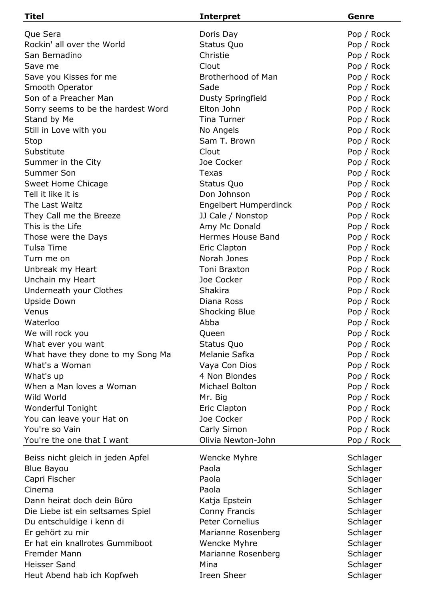| <b>Titel</b>                       | <b>Interpret</b>             | Genre      |
|------------------------------------|------------------------------|------------|
| Que Sera                           | Doris Day                    | Pop / Rock |
| Rockin' all over the World         | Status Quo                   | Pop / Rock |
| San Bernadino                      | Christie                     | Pop / Rock |
| Save me                            | Clout                        | Pop / Rock |
| Save you Kisses for me             | Brotherhood of Man           | Pop / Rock |
| Smooth Operator                    | Sade                         | Pop / Rock |
| Son of a Preacher Man              | <b>Dusty Springfield</b>     | Pop / Rock |
| Sorry seems to be the hardest Word | Elton John                   | Pop / Rock |
| Stand by Me                        | <b>Tina Turner</b>           | Pop / Rock |
| Still in Love with you             | No Angels                    | Pop / Rock |
| Stop                               | Sam T. Brown                 | Pop / Rock |
| Substitute                         | Clout                        | Pop / Rock |
| Summer in the City                 | Joe Cocker                   | Pop / Rock |
| Summer Son                         | <b>Texas</b>                 | Pop / Rock |
| Sweet Home Chicage                 | Status Quo                   | Pop / Rock |
| Tell it like it is                 | Don Johnson                  | Pop / Rock |
| The Last Waltz                     | <b>Engelbert Humperdinck</b> | Pop / Rock |
| They Call me the Breeze            | JJ Cale / Nonstop            | Pop / Rock |
| This is the Life                   | Amy Mc Donald                | Pop / Rock |
| Those were the Days                | <b>Hermes House Band</b>     | Pop / Rock |
| <b>Tulsa Time</b>                  | Eric Clapton                 | Pop / Rock |
| Turn me on                         | Norah Jones                  | Pop / Rock |
| Unbreak my Heart                   | Toni Braxton                 | Pop / Rock |
| Unchain my Heart                   | Joe Cocker                   | Pop / Rock |
| Underneath your Clothes            | <b>Shakira</b>               | Pop / Rock |
| Upside Down                        | Diana Ross                   | Pop / Rock |
| Venus                              | <b>Shocking Blue</b>         | Pop / Rock |
| Waterloo                           | Abba                         | Pop / Rock |
| We will rock you                   | Queen                        | Pop / Rock |
| What ever you want                 | Status Quo                   | Pop / Rock |
| What have they done to my Song Ma  | Melanie Safka                | Pop / Rock |
| What's a Woman                     | Vaya Con Dios                | Pop / Rock |
| What's up                          | 4 Non Blondes                | Pop / Rock |
| When a Man loves a Woman           | Michael Bolton               | Pop / Rock |
| Wild World                         | Mr. Big                      | Pop / Rock |
| <b>Wonderful Tonight</b>           | <b>Eric Clapton</b>          | Pop / Rock |
| You can leave your Hat on          | Joe Cocker                   | Pop / Rock |
| You're so Vain                     | Carly Simon                  | Pop / Rock |
| You're the one that I want         | Olivia Newton-John           | Pop / Rock |
| Beiss nicht gleich in jeden Apfel  | Wencke Myhre                 | Schlager   |
| <b>Blue Bayou</b>                  | Paola                        | Schlager   |
| Capri Fischer                      | Paola                        | Schlager   |
| Cinema                             | Paola                        | Schlager   |
| Dann heirat doch dein Büro         | Katja Epstein                | Schlager   |
| Die Liebe ist ein seltsames Spiel  | Conny Francis                | Schlager   |
| Du entschuldige i kenn di          | <b>Peter Cornelius</b>       | Schlager   |
| Er gehört zu mir                   | Marianne Rosenberg           | Schlager   |
| Er hat ein knallrotes Gummiboot    | Wencke Myhre                 | Schlager   |
| <b>Fremder Mann</b>                | Marianne Rosenberg           | Schlager   |
| <b>Heisser Sand</b>                | Mina                         | Schlager   |
| Heut Abend hab ich Kopfweh         | Ireen Sheer                  | Schlager   |